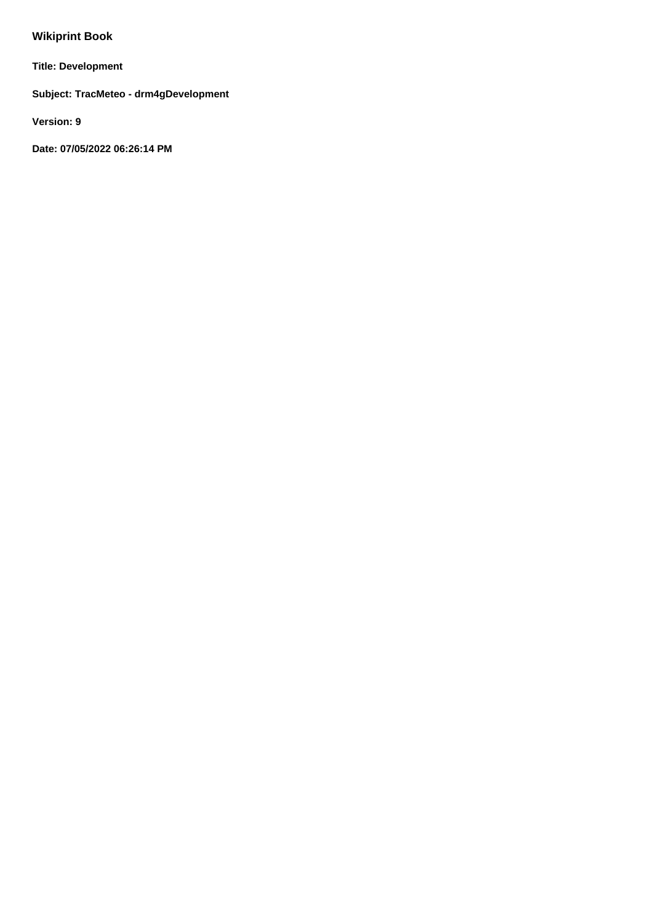# **Wikiprint Book**

**Title: Development**

**Subject: TracMeteo - drm4gDevelopment**

**Version: 9**

**Date: 07/05/2022 06:26:14 PM**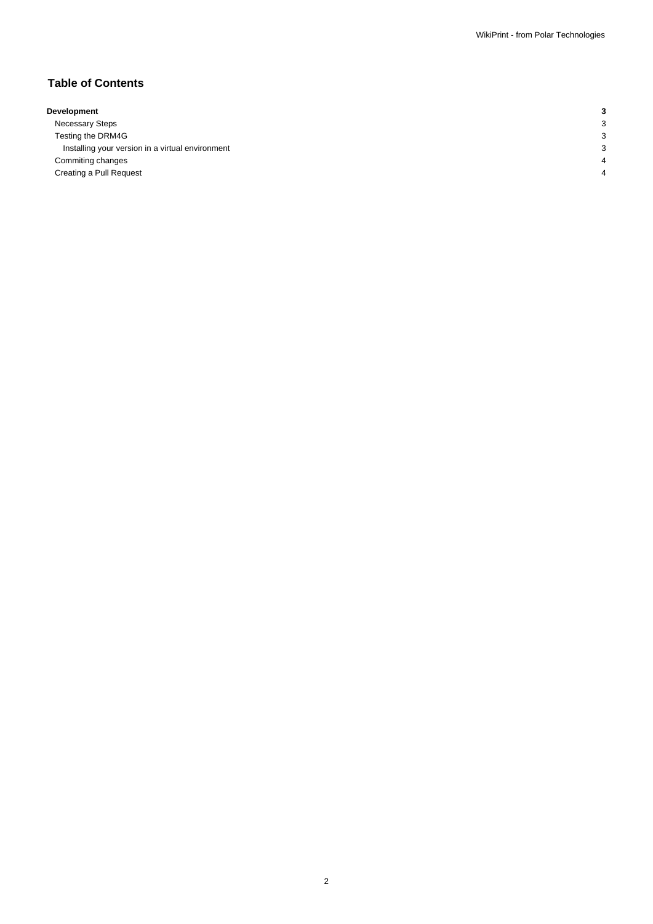## **Table of Contents**

| Development |  |  |
|-------------|--|--|
|             |  |  |

Necessary Steps 3 3 Testing the DRM4G 3 Installing your version in a virtual environment 3 **Commiting changes** 4 **4** Creating a Pull Request 4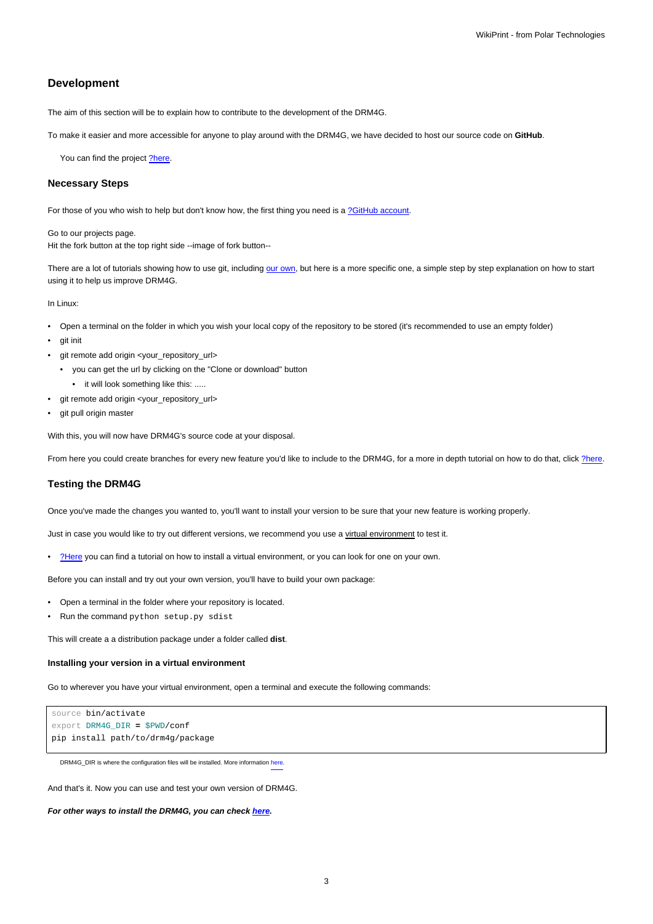## **Development**

The aim of this section will be to explain how to contribute to the development of the DRM4G.

To make it easier and more accessible for anyone to play around with the DRM4G, we have decided to host our source code on **GitHub**.

You can find the project [?here.](https://github.com/SantanderMetGroup/DRM4G)

#### **Necessary Steps**

For those of you who wish to help but don't know how, the first thing you need is a [?GitHub account](https://github.com/join?source=header-home).

Go to our projects page. Hit the fork button at the top right side --image of fork button--

There are a lot of tutorials showing how to use git, including [our own](https://meteo.unican.es/trac/wiki/versionControl/git), but here is a more specific one, a simple step by step explanation on how to start using it to help us improve DRM4G.

In Linux:

- Open a terminal on the folder in which you wish your local copy of the repository to be stored (it's recommended to use an empty folder)
- git init
- git remote add origin <your\_repository\_url>
	- you can get the url by clicking on the "Clone or download" button
- it will look something like this: .....
- git remote add origin <your\_repository\_url>
- git pull origin master

With this, you will now have DRM4G's source code at your disposal.

From here you could create branches for every new feature you'd like to include to the DRM4G, for a more in depth tutorial on how to do that, click [?here](https://git-scm.com/book/en/v2/Git-Branching-Basic-Branching-and-Merging).

#### **Testing the DRM4G**

Once you've made the changes you wanted to, you'll want to install your version to be sure that your new feature is working properly.

Just in case you would like to try out different versions, we recommend you use a virtual environment to test it.

• [?Here](http://pythoncentral.io/how-to-install-virtualenv-python/) you can find a tutorial on how to install a virtual environment, or you can look for one on your own.

Before you can install and try out your own version, you'll have to build your own package:

- Open a terminal in the folder where your repository is located.
- Run the command python setup.py sdist

This will create a a distribution package under a folder called **dist**.

#### **Installing your version in a virtual environment**

Go to wherever you have your virtual environment, open a terminal and execute the following commands:

```
source bin/activate
export DRM4G_DIR = $PWD/conf
pip install path/to/drm4g/package
```
DRM4G\_DIR is where the configuration files will be installed. More information [here](https://meteo.unican.es/trac/wiki/DRM4G/Installation#OptionalEnvironmentVariables).

And that's it. Now you can use and test your own version of DRM4G.

**For other ways to install the DRM4G, you can check [here](https://meteo.unican.es/trac/wiki/DRM4G/Installation).**